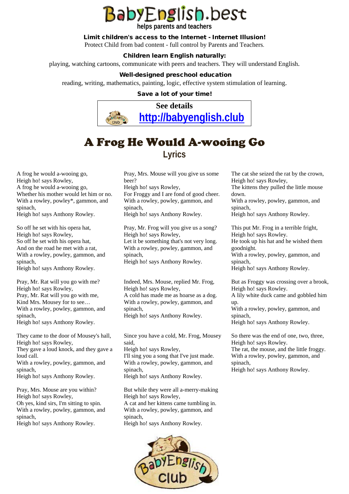# **BabyEnglish.best**

**helps parents and teachers** 

#### Limit children's access to the Internet - Internet Illusion!

Protect Child from bad content - full control by Parents and Teachers.

#### Children learn English naturally:

playing, watching cartoons, communicate with peers and teachers. They will understand English.

#### Well-designed preschool education

reading, writing, mathematics, painting, logic, effective system stimulation of learning.

#### Save a lot of your time!



### A Frog He Would A-wooing Go **Lyrics**

A frog he would a-wooing go, Heigh ho! says Rowley, A frog he would a-wooing go, Whether his mother would let him or no. With a rowley, powley\*, gammon, and spinach,

Heigh ho! says Anthony Rowley.

So off he set with his opera hat, Heigh ho! says Rowley, So off he set with his opera hat, And on the road he met with a rat, With a rowley, powley, gammon, and spinach, Heigh ho! says Anthony Rowley.

Pray, Mr. Rat will you go with me? Heigh ho! says Rowley, Pray, Mr. Rat will you go with me, Kind Mrs. Mousey for to see… With a rowley, powley, gammon, and spinach, Heigh ho! says Anthony Rowley.

They came to the door of Mousey's hall, Heigh ho! says Rowley, They gave a loud knock, and they gave a loud call. With a rowley, powley, gammon, and spinach, Heigh ho! says Anthony Rowley.

Pray, Mrs. Mouse are you within? Heigh ho! says Rowley, Oh yes, kind sirs, I'm sitting to spin. With a rowley, powley, gammon, and spinach, Heigh ho! says Anthony Rowley.

Pray, Mrs. Mouse will you give us some beer? Heigh ho! says Rowley, For Froggy and I are fond of good cheer. With a rowley, powley, gammon, and

spinach, Heigh ho! says Anthony Rowley.

Pray, Mr. Frog will you give us a song? Heigh ho! says Rowley, Let it be something that's not very long. With a rowley, powley, gammon, and spinach, Heigh ho! says Anthony Rowley.

Indeed, Mrs. Mouse, replied Mr. Frog, Heigh ho! says Rowley, A cold has made me as hoarse as a dog. With a rowley, powley, gammon, and spinach, Heigh ho! says Anthony Rowley.

Since you have a cold, Mr. Frog, Mousey said, Heigh ho! says Rowley, I'll sing you a song that I've just made. With a rowley, powley, gammon, and spinach,

Heigh ho! says Anthony Rowley.

But while they were all a-merry-making Heigh ho! says Rowley, A cat and her kittens came tumbling in. With a rowley, powley, gammon, and spinach, Heigh ho! says Anthony Rowley.



The cat she seized the rat by the crown, Heigh ho! says Rowley,

The kittens they pulled the little mouse down.

With a rowley, powley, gammon, and spinach,

Heigh ho! says Anthony Rowley.

This put Mr. Frog in a terrible fright, Heigh ho! says Rowley. He took up his hat and he wished them goodnight.

With a rowley, powley, gammon, and spinach,

Heigh ho! says Anthony Rowley.

But as Froggy was crossing over a brook, Heigh ho! says Rowley.

A lily white duck came and gobbled him up.

With a rowley, powley, gammon, and spinach,

Heigh ho! says Anthony Rowley.

So there was the end of one, two, three, Heigh ho! says Rowley. The rat, the mouse, and the little froggy. With a rowley, powley, gammon, and spinach,

Heigh ho! says Anthony Rowley.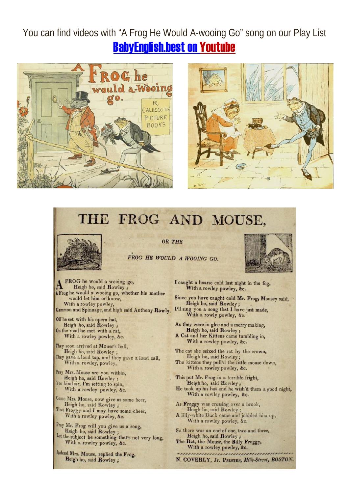### You can find videos with "A Frog He Would A-wooing Go" song on our Play List **BabyEnglish.best on Youtube**





## THE FROG AND MOUSE,



**OR THE** 



FROG HE WOULD A WOOING GO.

FROG he would a wooing go, Heigh ho, said Rowley; A Frog he would a wooing go, whether his mother would let him or know, With a rowley powley, Gammon and Spinnage, and high said Anthony Rowly.

Off he set with his opera hat,<br>Heigh ho, said Rowley; On the road he met with a rat, With a rowley powley, &c.

They soon arrived at Mouse's hall,<br>Heigh ho, said Rowley ; They gave a loud tap, and they gave a loud call, With a rowley, powley,

Pray Mrs. Mouse are you within,<br>Heigh ho, said Rowley; Yes kind sir, I'm setting to spin, With a rowley powley, &c.

Come Mrs. Mouse, now give us some beer, Heigh ho, said Rowley; That Froggy and I may have some cheer, With a rowley powley, &c.

Pray Mr. Frog will you give us a song, Heigh ho, said Rowley ;<br>Let the subject be something that's not very long, With a rowley powley, &c.

ladeed Mrs. Mouse, replied the Frog, Heigh ho, said Rowley:

I caught a hoarse cold last night in the fog, With a rowley powley, &c.

Since you have caught cold Mr. Frog, Mousey said, Heigh ho, said Rowley; I'll sing you a song that I have just made,<br>With a rowly powley, &c.

As they were in glee and a merry making. Heigh ho, said Rowley; A Cat and her Kittens came tumbling in,

With a rowley powley, &c. The cat she seized the rat by the crown, Heigh ho, said Rowley;

The kittens they pull'd the little mouse down,<br>With a rowley powley, &c.

This put Mr. Frog in a terrible fright, Heigh ho, said Rowley; He took up his hat and he wish'd them a good night,<br>With a rowley powley, &c.

As Froggy was crossing over a brook,<br>Heigh ho, said Rowley; A lilly-white Duck came and jobbled him up,<br>With a rowley powley, &c.

So there was an end of one, two and three,

Heigh ho, said Rowley The Rat, the Mouse, the Billy Froggy, With a rowley powley, &c. mannannannannannan

N. COVERLY, Jr. PRINTER, Milk-Street, BOSTON.